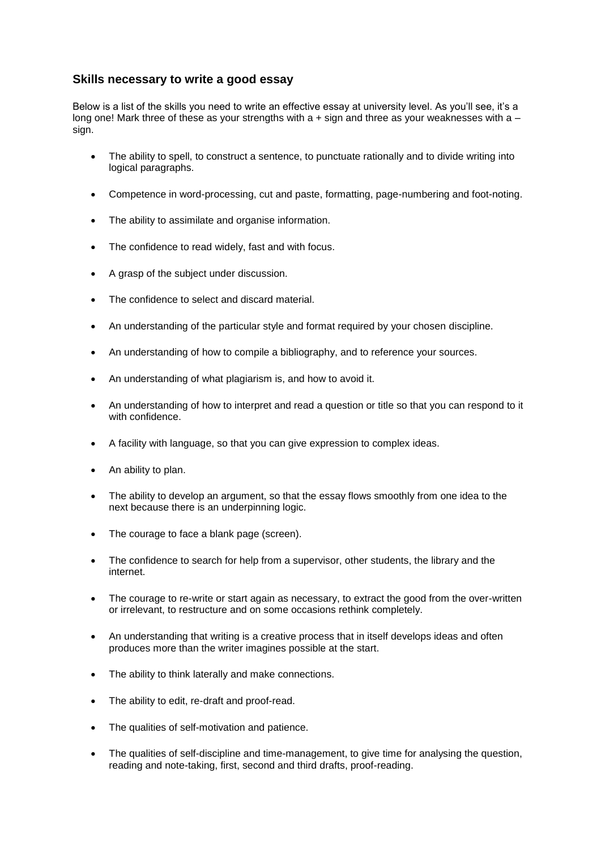## **Skills necessary to write a good essay**

Below is a list of the skills you need to write an effective essay at university level. As you'll see, it's a long one! Mark three of these as your strengths with  $a + sign$  and three as your weaknesses with  $a$ sign.

- The ability to spell, to construct a sentence, to punctuate rationally and to divide writing into logical paragraphs.
- Competence in word-processing, cut and paste, formatting, page-numbering and foot-noting.
- The ability to assimilate and organise information.
- The confidence to read widely, fast and with focus.
- A grasp of the subject under discussion.
- The confidence to select and discard material.
- An understanding of the particular style and format required by your chosen discipline.
- An understanding of how to compile a bibliography, and to reference your sources.
- An understanding of what plagiarism is, and how to avoid it.
- An understanding of how to interpret and read a question or title so that you can respond to it with confidence.
- A facility with language, so that you can give expression to complex ideas.
- An ability to plan.
- The ability to develop an argument, so that the essay flows smoothly from one idea to the next because there is an underpinning logic.
- The courage to face a blank page (screen).
- The confidence to search for help from a supervisor, other students, the library and the internet.
- The courage to re-write or start again as necessary, to extract the good from the over-written or irrelevant, to restructure and on some occasions rethink completely.
- An understanding that writing is a creative process that in itself develops ideas and often produces more than the writer imagines possible at the start.
- The ability to think laterally and make connections.
- The ability to edit, re-draft and proof-read.
- The qualities of self-motivation and patience.
- The qualities of self-discipline and time-management, to give time for analysing the question, reading and note-taking, first, second and third drafts, proof-reading.